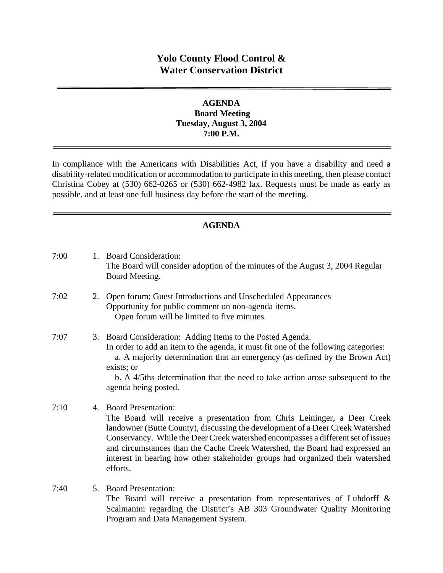# **Yolo County Flood Control & Water Conservation District**

#### **AGENDA Board Meeting Tuesday, August 3, 2004 7:00 P.M.**

In compliance with the Americans with Disabilities Act, if you have a disability and need a disability-related modification or accommodation to participate in this meeting, then please contact Christina Cobey at (530) 662-0265 or (530) 662-4982 fax. Requests must be made as early as possible, and at least one full business day before the start of the meeting.

### **AGENDA**

| 7:00 |    | 1. Board Consideration:<br>The Board will consider adoption of the minutes of the August 3, 2004 Regular<br>Board Meeting.                                                                                                                                                                                                                                                                                                                                  |
|------|----|-------------------------------------------------------------------------------------------------------------------------------------------------------------------------------------------------------------------------------------------------------------------------------------------------------------------------------------------------------------------------------------------------------------------------------------------------------------|
| 7:02 | 2. | Open forum; Guest Introductions and Unscheduled Appearances<br>Opportunity for public comment on non-agenda items.<br>Open forum will be limited to five minutes.                                                                                                                                                                                                                                                                                           |
| 7:07 |    | 3. Board Consideration: Adding Items to the Posted Agenda.<br>In order to add an item to the agenda, it must fit one of the following categories:<br>a. A majority determination that an emergency (as defined by the Brown Act)<br>exists; or<br>b. A 4/5ths determination that the need to take action arose subsequent to the<br>agenda being posted.                                                                                                    |
| 7:10 | 4. | <b>Board Presentation:</b><br>The Board will receive a presentation from Chris Leininger, a Deer Creek<br>landowner (Butte County), discussing the development of a Deer Creek Watershed<br>Conservancy. While the Deer Creek watershed encompasses a different set of issues<br>and circumstances than the Cache Creek Watershed, the Board had expressed an<br>interest in hearing how other stakeholder groups had organized their watershed<br>efforts. |
| 7:40 | 5. | <b>Board Presentation:</b><br>The Board will receive a presentation from representatives of Luhdorff $\&$<br>Scalmanini regarding the District's AB 303 Groundwater Quality Monitoring<br>Program and Data Management System.                                                                                                                                                                                                                               |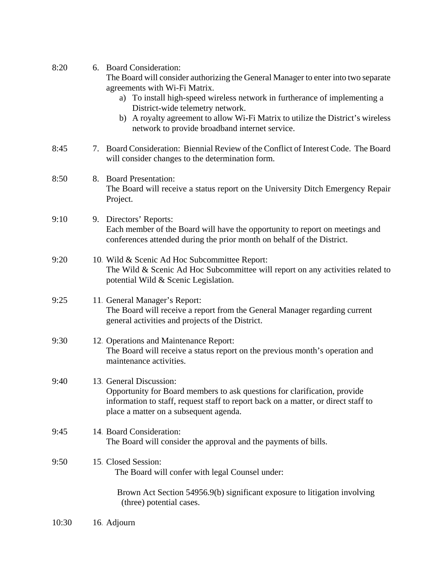| 8:20  | 6. Board Consideration:<br>The Board will consider authorizing the General Manager to enter into two separate<br>agreements with Wi-Fi Matrix.<br>a) To install high-speed wireless network in furtherance of implementing a<br>District-wide telemetry network.<br>b) A royalty agreement to allow Wi-Fi Matrix to utilize the District's wireless<br>network to provide broadband internet service. |
|-------|-------------------------------------------------------------------------------------------------------------------------------------------------------------------------------------------------------------------------------------------------------------------------------------------------------------------------------------------------------------------------------------------------------|
| 8:45  | 7. Board Consideration: Biennial Review of the Conflict of Interest Code. The Board<br>will consider changes to the determination form.                                                                                                                                                                                                                                                               |
| 8:50  | 8. Board Presentation:<br>The Board will receive a status report on the University Ditch Emergency Repair<br>Project.                                                                                                                                                                                                                                                                                 |
| 9:10  | 9. Directors' Reports:<br>Each member of the Board will have the opportunity to report on meetings and<br>conferences attended during the prior month on behalf of the District.                                                                                                                                                                                                                      |
| 9:20  | 10. Wild & Scenic Ad Hoc Subcommittee Report:<br>The Wild & Scenic Ad Hoc Subcommittee will report on any activities related to<br>potential Wild & Scenic Legislation.                                                                                                                                                                                                                               |
| 9:25  | 11. General Manager's Report:<br>The Board will receive a report from the General Manager regarding current<br>general activities and projects of the District.                                                                                                                                                                                                                                       |
| 9:30  | 12. Operations and Maintenance Report:<br>The Board will receive a status report on the previous month's operation and<br>maintenance activities.                                                                                                                                                                                                                                                     |
| 9:40  | 13. General Discussion:<br>Opportunity for Board members to ask questions for clarification, provide<br>information to staff, request staff to report back on a matter, or direct staff to<br>place a matter on a subsequent agenda.                                                                                                                                                                  |
| 9:45  | 14. Board Consideration:<br>The Board will consider the approval and the payments of bills.                                                                                                                                                                                                                                                                                                           |
| 9:50  | 15 Closed Session:<br>The Board will confer with legal Counsel under:                                                                                                                                                                                                                                                                                                                                 |
|       | Brown Act Section 54956.9(b) significant exposure to litigation involving<br>(three) potential cases.                                                                                                                                                                                                                                                                                                 |
| 10:30 | 16. Adjourn                                                                                                                                                                                                                                                                                                                                                                                           |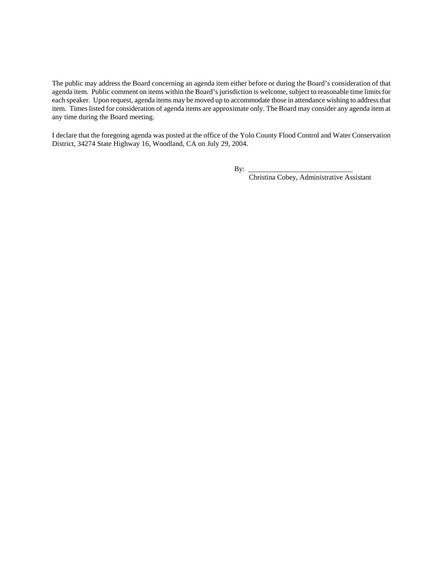The public may address the Board concerning an agenda item either before or during the Board's consideration of that agenda item. Public comment on items within the Board's jurisdiction is welcome, subject to reasonable time limits for each speaker. Upon request, agenda items may be moved up to accommodate those in attendance wishing to address that item. Times listed for consideration of agenda items are approximate only. The Board may consider any agenda item at any time during the Board meeting.

I declare that the foregoing agenda was posted at the office of the Yolo County Flood Control and Water Conservation District, 34274 State Highway 16, Woodland, CA on July 29, 2004.

By: \_\_\_\_\_\_\_\_\_\_\_\_\_\_\_\_\_\_\_\_\_\_\_\_\_\_\_\_\_

Christina Cobey, Administrative Assistant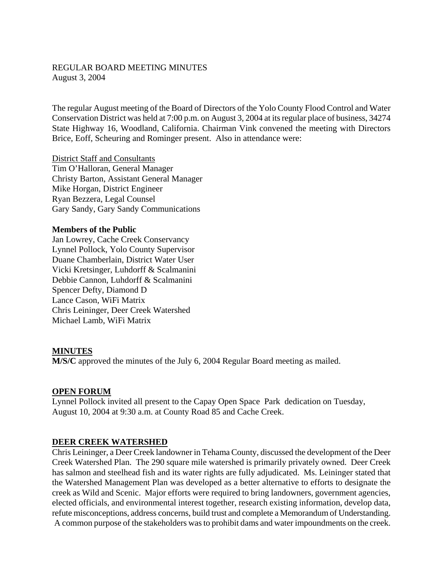#### REGULAR BOARD MEETING MINUTES August 3, 2004

The regular August meeting of the Board of Directors of the Yolo County Flood Control and Water Conservation District was held at 7:00 p.m. on August 3, 2004 at its regular place of business, 34274 State Highway 16, Woodland, California. Chairman Vink convened the meeting with Directors Brice, Eoff, Scheuring and Rominger present. Also in attendance were:

District Staff and Consultants Tim O'Halloran, General Manager Christy Barton, Assistant General Manager Mike Horgan, District Engineer Ryan Bezzera, Legal Counsel Gary Sandy, Gary Sandy Communications

#### **Members of the Public**

Jan Lowrey, Cache Creek Conservancy Lynnel Pollock, Yolo County Supervisor Duane Chamberlain, District Water User Vicki Kretsinger, Luhdorff & Scalmanini Debbie Cannon, Luhdorff & Scalmanini Spencer Defty, Diamond D Lance Cason, WiFi Matrix Chris Leininger, Deer Creek Watershed Michael Lamb, WiFi Matrix

#### **MINUTES**

**M/S/C** approved the minutes of the July 6, 2004 Regular Board meeting as mailed.

#### **OPEN FORUM**

Lynnel Pollock invited all present to the Capay Open Space Park dedication on Tuesday, August 10, 2004 at 9:30 a.m. at County Road 85 and Cache Creek.

#### **DEER CREEK WATERSHED**

Chris Leininger, a Deer Creek landowner in Tehama County, discussed the development of the Deer Creek Watershed Plan. The 290 square mile watershed is primarily privately owned. Deer Creek has salmon and steelhead fish and its water rights are fully adjudicated. Ms. Leininger stated that the Watershed Management Plan was developed as a better alternative to efforts to designate the creek as Wild and Scenic. Major efforts were required to bring landowners, government agencies, elected officials, and environmental interest together, research existing information, develop data, refute misconceptions, address concerns, build trust and complete a Memorandum of Understanding. A common purpose of the stakeholders was to prohibit dams and water impoundments on the creek.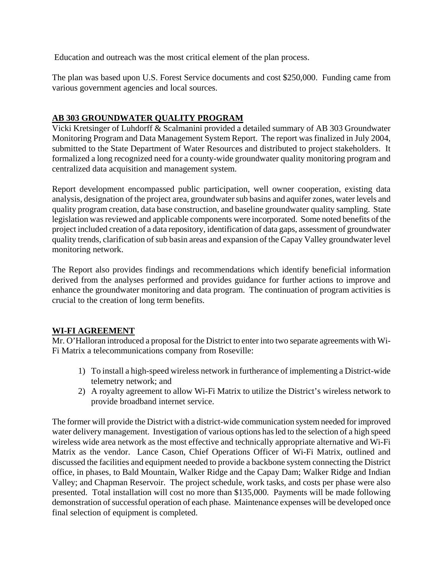Education and outreach was the most critical element of the plan process.

The plan was based upon U.S. Forest Service documents and cost \$250,000. Funding came from various government agencies and local sources.

# **AB 303 GROUNDWATER QUALITY PROGRAM**

Vicki Kretsinger of Luhdorff & Scalmanini provided a detailed summary of AB 303 Groundwater Monitoring Program and Data Management System Report. The report was finalized in July 2004, submitted to the State Department of Water Resources and distributed to project stakeholders. It formalized a long recognized need for a county-wide groundwater quality monitoring program and centralized data acquisition and management system.

Report development encompassed public participation, well owner cooperation, existing data analysis, designation of the project area, groundwater sub basins and aquifer zones, water levels and quality program creation, data base construction, and baseline groundwater quality sampling. State legislation was reviewed and applicable components were incorporated. Some noted benefits of the project included creation of a data repository, identification of data gaps, assessment of groundwater quality trends, clarification of sub basin areas and expansion of the Capay Valley groundwater level monitoring network.

The Report also provides findings and recommendations which identify beneficial information derived from the analyses performed and provides guidance for further actions to improve and enhance the groundwater monitoring and data program. The continuation of program activities is crucial to the creation of long term benefits.

### **WI-FI AGREEMENT**

Mr. O'Halloran introduced a proposal for the District to enter into two separate agreements with Wi-Fi Matrix a telecommunications company from Roseville:

- 1) To install a high-speed wireless network in furtherance of implementing a District-wide telemetry network; and
- 2) A royalty agreement to allow Wi-Fi Matrix to utilize the District's wireless network to provide broadband internet service.

The former will provide the District with a district-wide communication system needed for improved water delivery management. Investigation of various options has led to the selection of a high speed wireless wide area network as the most effective and technically appropriate alternative and Wi-Fi Matrix as the vendor. Lance Cason, Chief Operations Officer of Wi-Fi Matrix, outlined and discussed the facilities and equipment needed to provide a backbone system connecting the District office, in phases, to Bald Mountain, Walker Ridge and the Capay Dam; Walker Ridge and Indian Valley; and Chapman Reservoir. The project schedule, work tasks, and costs per phase were also presented. Total installation will cost no more than \$135,000. Payments will be made following demonstration of successful operation of each phase. Maintenance expenses will be developed once final selection of equipment is completed.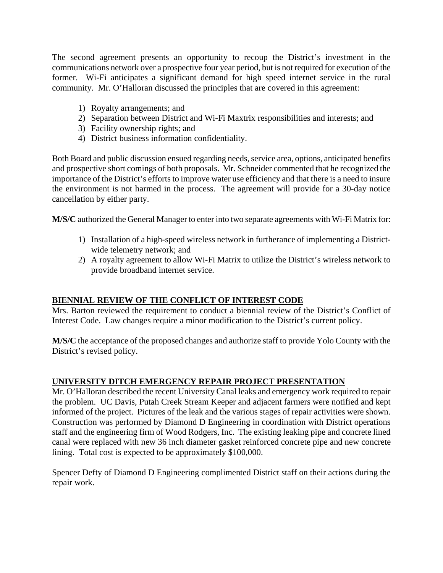The second agreement presents an opportunity to recoup the District's investment in the communications network over a prospective four year period, but is not required for execution of the former. Wi-Fi anticipates a significant demand for high speed internet service in the rural community. Mr. O'Halloran discussed the principles that are covered in this agreement:

- 1) Royalty arrangements; and
- 2) Separation between District and Wi-Fi Maxtrix responsibilities and interests; and
- 3) Facility ownership rights; and
- 4) District business information confidentiality.

Both Board and public discussion ensued regarding needs, service area, options, anticipated benefits and prospective short comings of both proposals. Mr. Schneider commented that he recognized the importance of the District's efforts to improve water use efficiency and that there is a need to insure the environment is not harmed in the process. The agreement will provide for a 30-day notice cancellation by either party.

**M/S/C** authorized the General Manager to enter into two separate agreements with Wi-Fi Matrix for:

- 1) Installation of a high-speed wireless network in furtherance of implementing a Districtwide telemetry network; and
- 2) A royalty agreement to allow Wi-Fi Matrix to utilize the District's wireless network to provide broadband internet service.

### **BIENNIAL REVIEW OF THE CONFLICT OF INTEREST CODE**

Mrs. Barton reviewed the requirement to conduct a biennial review of the District's Conflict of Interest Code. Law changes require a minor modification to the District's current policy.

**M/S/C** the acceptance of the proposed changes and authorize staff to provide Yolo County with the District's revised policy.

# **UNIVERSITY DITCH EMERGENCY REPAIR PROJECT PRESENTATION**

Mr. O'Halloran described the recent University Canal leaks and emergency work required to repair the problem. UC Davis, Putah Creek Stream Keeper and adjacent farmers were notified and kept informed of the project. Pictures of the leak and the various stages of repair activities were shown. Construction was performed by Diamond D Engineering in coordination with District operations staff and the engineering firm of Wood Rodgers, Inc. The existing leaking pipe and concrete lined canal were replaced with new 36 inch diameter gasket reinforced concrete pipe and new concrete lining. Total cost is expected to be approximately \$100,000.

Spencer Defty of Diamond D Engineering complimented District staff on their actions during the repair work.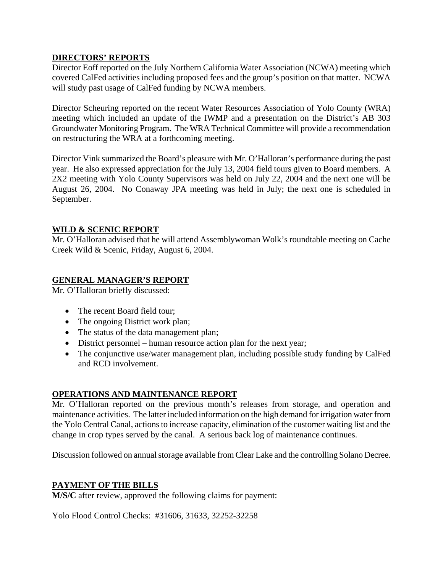#### **DIRECTORS' REPORTS**

Director Eoff reported on the July Northern California Water Association (NCWA) meeting which covered CalFed activities including proposed fees and the group's position on that matter. NCWA will study past usage of CalFed funding by NCWA members.

Director Scheuring reported on the recent Water Resources Association of Yolo County (WRA) meeting which included an update of the IWMP and a presentation on the District's AB 303 Groundwater Monitoring Program. The WRA Technical Committee will provide a recommendation on restructuring the WRA at a forthcoming meeting.

Director Vink summarized the Board's pleasure with Mr. O'Halloran's performance during the past year. He also expressed appreciation for the July 13, 2004 field tours given to Board members. A 2X2 meeting with Yolo County Supervisors was held on July 22, 2004 and the next one will be August 26, 2004. No Conaway JPA meeting was held in July; the next one is scheduled in September.

#### **WILD & SCENIC REPORT**

Mr. O'Halloran advised that he will attend Assemblywoman Wolk's roundtable meeting on Cache Creek Wild & Scenic, Friday, August 6, 2004.

### **GENERAL MANAGER'S REPORT**

Mr. O'Halloran briefly discussed:

- The recent Board field tour;
- The ongoing District work plan;
- The status of the data management plan;
- District personnel human resource action plan for the next year;
- The conjunctive use/water management plan, including possible study funding by CalFed and RCD involvement.

### **OPERATIONS AND MAINTENANCE REPORT**

Mr. O'Halloran reported on the previous month's releases from storage, and operation and maintenance activities. The latter included information on the high demand for irrigation water from the Yolo Central Canal, actions to increase capacity, elimination of the customer waiting list and the change in crop types served by the canal. A serious back log of maintenance continues.

Discussion followed on annual storage available from Clear Lake and the controlling Solano Decree.

### **PAYMENT OF THE BILLS**

**M/S/C** after review, approved the following claims for payment:

Yolo Flood Control Checks: #31606, 31633, 32252-32258